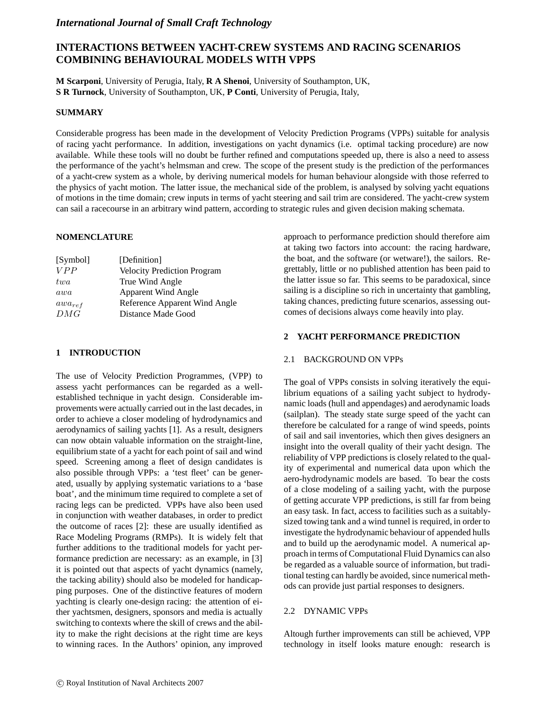# *International Journal of Small Craft Technology*

# **INTERACTIONS BETWEEN YACHT-CREW SYSTEMS AND RACING SCENARIOS COMBINING BEHAVIOURAL MODELS WITH VPPS**

**M Scarponi**, University of Perugia, Italy, **R A Shenoi**, University of Southampton, UK, **S R Turnock**, University of Southampton, UK, **P Conti**, University of Perugia, Italy,

# **SUMMARY**

Considerable progress has been made in the development of Velocity Prediction Programs (VPPs) suitable for analysis of racing yacht performance. In addition, investigations on yacht dynamics (i.e. optimal tacking procedure) are now available. While these tools will no doubt be further refined and computations speeded up, there is also a need to assess the performance of the yacht's helmsman and crew. The scope of the present study is the prediction of the performances of a yacht-crew system as a whole, by deriving numerical models for human behaviour alongside with those referred to the physics of yacht motion. The latter issue, the mechanical side of the problem, is analysed by solving yacht equations of motions in the time domain; crew inputs in terms of yacht steering and sail trim are considered. The yacht-crew system can sail a racecourse in an arbitrary wind pattern, according to strategic rules and given decision making schemata.

# **NOMENCLATURE**

| [Definition]                       |
|------------------------------------|
| <b>Velocity Prediction Program</b> |
| True Wind Angle                    |
| <b>Apparent Wind Angle</b>         |
| Reference Apparent Wind Angle      |
| Distance Made Good                 |
|                                    |

# **1 INTRODUCTION**

The use of Velocity Prediction Programmes, (VPP) to assess yacht performances can be regarded as a wellestablished technique in yacht design. Considerable improvements were actually carried out in the last decades, in order to achieve a closer modeling of hydrodynamics and aerodynamics of sailing yachts [1]. As a result, designers can now obtain valuable information on the straight-line, equilibrium state of a yacht for each point of sail and wind speed. Screening among a fleet of design candidates is also possible through VPPs: a 'test fleet' can be generated, usually by applying systematic variations to a 'base boat', and the minimum time required to complete a set of racing legs can be predicted. VPPs have also been used in conjunction with weather databases, in order to predict the outcome of races [2]: these are usually identified as Race Modeling Programs (RMPs). It is widely felt that further additions to the traditional models for yacht performance prediction are necessary: as an example, in [3] it is pointed out that aspects of yacht dynamics (namely, the tacking ability) should also be modeled for handicapping purposes. One of the distinctive features of modern yachting is clearly one-design racing: the attention of either yachtsmen, designers, sponsors and media is actually switching to contexts where the skill of crews and the ability to make the right decisions at the right time are keys to winning races. In the Authors' opinion, any improved approach to performance prediction should therefore aim at taking two factors into account: the racing hardware, the boat, and the software (or wetware!), the sailors. Regrettably, little or no published attention has been paid to the latter issue so far. This seems to be paradoxical, since sailing is a discipline so rich in uncertainty that gambling, taking chances, predicting future scenarios, assessing outcomes of decisions always come heavily into play.

# **2 YACHT PERFORMANCE PREDICTION**

# 2.1 BACKGROUND ON VPPs

The goal of VPPs consists in solving iteratively the equilibrium equations of a sailing yacht subject to hydrodynamic loads (hull and appendages) and aerodynamic loads (sailplan). The steady state surge speed of the yacht can therefore be calculated for a range of wind speeds, points of sail and sail inventories, which then gives designers an insight into the overall quality of their yacht design. The reliability of VPP predictions is closely related to the quality of experimental and numerical data upon which the aero-hydrodynamic models are based. To bear the costs of a close modeling of a sailing yacht, with the purpose of getting accurate VPP predictions, is still far from being an easy task. In fact, access to facilities such as a suitablysized towing tank and a wind tunnel is required, in order to investigate the hydrodynamic behaviour of appended hulls and to build up the aerodynamic model. A numerical approach in terms of Computational Fluid Dynamics can also be regarded as a valuable source of information, but traditional testing can hardly be avoided, since numerical methods can provide just partial responses to designers.

# 2.2 DYNAMIC VPPs

Altough further improvements can still be achieved, VPP technology in itself looks mature enough: research is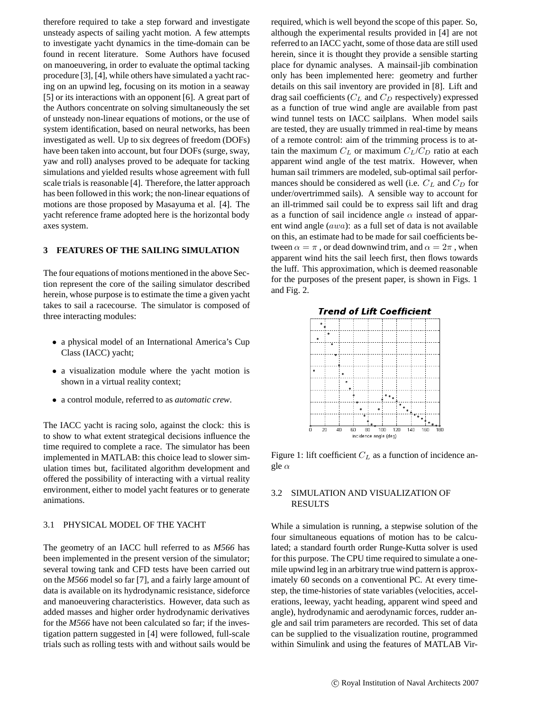therefore required to take a step forward and investigate unsteady aspects of sailing yacht motion. A few attempts to investigate yacht dynamics in the time-domain can be found in recent literature. Some Authors have focused on manoeuvering, in order to evaluate the optimal tacking procedure [3], [4], while others have simulated a yacht racing on an upwind leg, focusing on its motion in a seaway [5] or its interactions with an opponent [6]. A great part of the Authors concentrate on solving simultaneously the set of unsteady non-linear equations of motions, or the use of system identification, based on neural networks, has been investigated as well. Up to six degrees of freedom (DOFs) have been taken into account, but four DOFs (surge, sway, yaw and roll) analyses proved to be adequate for tacking simulations and yielded results whose agreement with full scale trials is reasonable [4]. Therefore, the latter approach has been followed in this work; the non-linear equations of motions are those proposed by Masayuma et al. [4]. The yacht reference frame adopted here is the horizontal body axes system.

### **3 FEATURES OF THE SAILING SIMULATION**

The four equations of motions mentioned in the above Section represent the core of the sailing simulator described herein, whose purpose is to estimate the time a given yacht takes to sail a racecourse. The simulator is composed of three interacting modules:

- a physical model of an International America's Cup Class (IACC) yacht;
- a visualization module where the yacht motion is shown in a virtual reality context;
- a control module, referred to as *automatic crew*.

The IACC yacht is racing solo, against the clock: this is to show to what extent strategical decisions influence the time required to complete a race. The simulator has been implemented in MATLAB: this choice lead to slower simulation times but, facilitated algorithm development and offered the possibility of interacting with a virtual reality environment, either to model yacht features or to generate animations.

# 3.1 PHYSICAL MODEL OF THE YACHT

The geometry of an IACC hull referred to as *M566* has been implemented in the present version of the simulator; several towing tank and CFD tests have been carried out on the *M566* model so far [7], and a fairly large amount of data is available on its hydrodynamic resistance, sideforce and manoeuvering characteristics. However, data such as added masses and higher order hydrodynamic derivatives for the *M566* have not been calculated so far; if the investigation pattern suggested in [4] were followed, full-scale trials such as rolling tests with and without sails would be required, which is well beyond the scope of this paper. So, although the experimental results provided in [4] are not referred to an IACC yacht, some of those data are still used herein, since it is thought they provide a sensible starting place for dynamic analyses. A mainsail-jib combination only has been implemented here: geometry and further details on this sail inventory are provided in [8]. Lift and drag sail coefficients (C*<sup>L</sup>* and C*<sup>D</sup>* respectively) expressed as a function of true wind angle are available from past wind tunnel tests on IACC sailplans. When model sails are tested, they are usually trimmed in real-time by means of a remote control: aim of the trimming process is to attain the maximum  $C_L$  or maximum  $C_L/C_D$  ratio at each apparent wind angle of the test matrix. However, when human sail trimmers are modeled, sub-optimal sail performances should be considered as well (i.e. C*<sup>L</sup>* and C*<sup>D</sup>* for under/overtrimmed sails). A sensible way to account for an ill-trimmed sail could be to express sail lift and drag as a function of sail incidence angle  $\alpha$  instead of apparent wind angle (awa): as a full set of data is not available on this, an estimate had to be made for sail coefficients between  $\alpha = \pi$ , or dead downwind trim, and  $\alpha = 2\pi$ , when apparent wind hits the sail leech first, then flows towards the luff. This approximation, which is deemed reasonable for the purposes of the present paper, is shown in Figs. 1 and Fig. 2.



Figure 1: lift coefficient C*<sup>L</sup>* as a function of incidence angle  $\alpha$ 

# 3.2 SIMULATION AND VISUALIZATION OF RESULTS

While a simulation is running, a stepwise solution of the four simultaneous equations of motion has to be calculated; a standard fourth order Runge-Kutta solver is used for this purpose. The CPU time required to simulate a onemile upwind leg in an arbitrary true wind pattern is approximately 60 seconds on a conventional PC. At every timestep, the time-histories of state variables (velocities, accelerations, leeway, yacht heading, apparent wind speed and angle), hydrodynamic and aerodynamic forces, rudder angle and sail trim parameters are recorded. This set of data can be supplied to the visualization routine, programmed within Simulink and using the features of MATLAB Vir-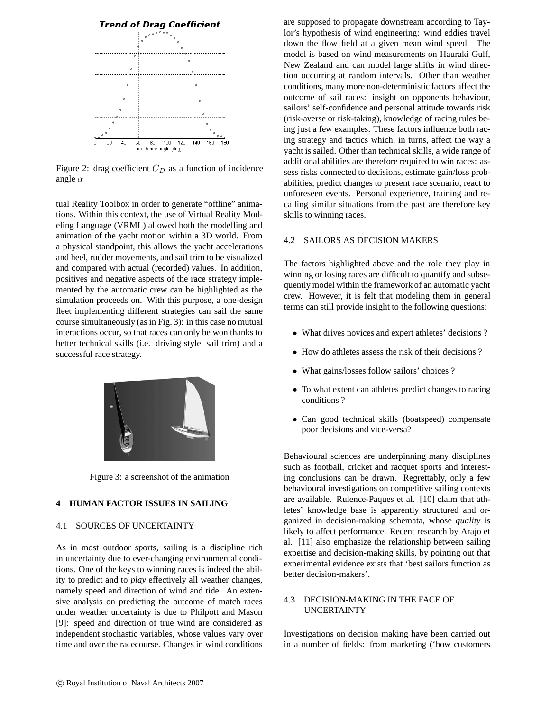

Figure 2: drag coefficient  $C_D$  as a function of incidence angle  $\alpha$ 

tual Reality Toolbox in order to generate "offline" animations. Within this context, the use of Virtual Reality Modeling Language (VRML) allowed both the modelling and animation of the yacht motion within a 3D world. From a physical standpoint, this allows the yacht accelerations and heel, rudder movements, and sail trim to be visualized and compared with actual (recorded) values. In addition, positives and negative aspects of the race strategy implemented by the automatic crew can be highlighted as the simulation proceeds on. With this purpose, a one-design fleet implementing different strategies can sail the same course simultaneously (as in Fig. 3): in this case no mutual interactions occur, so that races can only be won thanks to better technical skills (i.e. driving style, sail trim) and a successful race strategy.



Figure 3: a screenshot of the animation

# **4 HUMAN FACTOR ISSUES IN SAILING**

### 4.1 SOURCES OF UNCERTAINTY

As in most outdoor sports, sailing is a discipline rich in uncertainty due to ever-changing environmental conditions. One of the keys to winning races is indeed the ability to predict and to *play* effectively all weather changes, namely speed and direction of wind and tide. An extensive analysis on predicting the outcome of match races under weather uncertainty is due to Philpott and Mason [9]: speed and direction of true wind are considered as independent stochastic variables, whose values vary over time and over the racecourse. Changes in wind conditions

are supposed to propagate downstream according to Taylor's hypothesis of wind engineering: wind eddies travel down the flow field at a given mean wind speed. The model is based on wind measurements on Hauraki Gulf, New Zealand and can model large shifts in wind direction occurring at random intervals. Other than weather conditions, many more non-deterministic factors affect the outcome of sail races: insight on opponents behaviour, sailors' self-confidence and personal attitude towards risk (risk-averse or risk-taking), knowledge of racing rules being just a few examples. These factors influence both racing strategy and tactics which, in turns, affect the way a yacht is sailed. Other than technical skills, a wide range of additional abilities are therefore required to win races: assess risks connected to decisions, estimate gain/loss probabilities, predict changes to present race scenario, react to unforeseen events. Personal experience, training and recalling similar situations from the past are therefore key skills to winning races.

### 4.2 SAILORS AS DECISION MAKERS

The factors highlighted above and the role they play in winning or losing races are difficult to quantify and subsequently model within the framework of an automatic yacht crew. However, it is felt that modeling them in general terms can still provide insight to the following questions:

- What drives novices and expert athletes' decisions ?
- How do athletes assess the risk of their decisions?
- What gains/losses follow sailors' choices ?
- To what extent can athletes predict changes to racing conditions ?
- Can good technical skills (boatspeed) compensate poor decisions and vice-versa?

Behavioural sciences are underpinning many disciplines such as football, cricket and racquet sports and interesting conclusions can be drawn. Regrettably, only a few behavioural investigations on competitive sailing contexts are available. Rulence-Paques et al. [10] claim that athletes' knowledge base is apparently structured and organized in decision-making schemata, whose *quality* is likely to affect performance. Recent research by Arajo et al. [11] also emphasize the relationship between sailing expertise and decision-making skills, by pointing out that experimental evidence exists that 'best sailors function as better decision-makers'.

# 4.3 DECISION-MAKING IN THE FACE OF UNCERTAINTY

Investigations on decision making have been carried out in a number of fields: from marketing ('how customers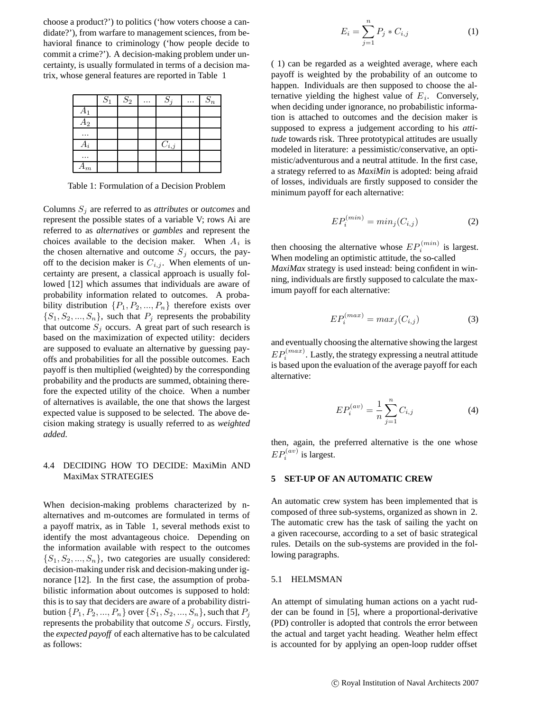choose a product?') to politics ('how voters choose a candidate?'), from warfare to management sciences, from behavioral finance to criminology ('how people decide to commit a crime?'). A decision-making problem under uncertainty, is usually formulated in terms of a decision matrix, whose general features are reported in Table 1

|                | $S_1$ | $S_2$ | $S_i$     | $S_n$ |
|----------------|-------|-------|-----------|-------|
| $A_1$          |       |       |           |       |
| A <sub>2</sub> |       |       |           |       |
|                |       |       |           |       |
| Ai             |       |       | $C_{i,j}$ |       |
| $\cdot$ .      |       |       |           |       |
| $A_m$          |       |       |           |       |

Table 1: Formulation of a Decision Problem

Columns S*<sup>j</sup>* are referred to as *attributes* or *outcomes* and represent the possible states of a variable V; rows Ai are referred to as *alternatives* or *gambles* and represent the choices available to the decision maker. When A*<sup>i</sup>* is the chosen alternative and outcome  $S_j$  occurs, the payoff to the decision maker is  $C_{i,j}$ . When elements of uncertainty are present, a classical approach is usually followed [12] which assumes that individuals are aware of probability information related to outcomes. A probability distribution  $\{P_1, P_2, ..., P_n\}$  therefore exists over  $\{S_1, S_2, ..., S_n\}$ , such that  $P_j$  represents the probability that outcome  $S_j$  occurs. A great part of such research is based on the maximization of expected utility: deciders are supposed to evaluate an alternative by guessing payoffs and probabilities for all the possible outcomes. Each payoff is then multiplied (weighted) by the corresponding probability and the products are summed, obtaining therefore the expected utility of the choice. When a number of alternatives is available, the one that shows the largest expected value is supposed to be selected. The above decision making strategy is usually referred to as *weighted added*.

# 4.4 DECIDING HOW TO DECIDE: MaxiMin AND MaxiMax STRATEGIES

When decision-making problems characterized by nalternatives and m-outcomes are formulated in terms of a payoff matrix, as in Table 1, several methods exist to identify the most advantageous choice. Depending on the information available with respect to the outcomes  $\{S_1, S_2, ..., S_n\}$ , two categories are usually considered: decision-making under risk and decision-making under ignorance [12]. In the first case, the assumption of probabilistic information about outcomes is supposed to hold: this is to say that deciders are aware of a probability distribution  $\{P_1, P_2, ..., P_n\}$  over  $\{S_1, S_2, ..., S_n\}$ , such that  $P_j$ represents the probability that outcome  $S_j$  occurs. Firstly, the *expected payoff* of each alternative has to be calculated as follows:

$$
E_i = \sum_{j=1}^{n} P_j * C_{i,j}
$$
 (1)

( 1) can be regarded as a weighted average, where each payoff is weighted by the probability of an outcome to happen. Individuals are then supposed to choose the alternative yielding the highest value of  $E_i$ . Conversely, when deciding under ignorance, no probabilistic information is attached to outcomes and the decision maker is supposed to express a judgement according to his *attitude* towards risk. Three prototypical attitudes are usually modeled in literature: a pessimistic/conservative, an optimistic/adventurous and a neutral attitude. In the first case, a strategy referred to as *MaxiMin* is adopted: being afraid of losses, individuals are firstly supposed to consider the minimum payoff for each alternative:

$$
EP_i^{(min)} = min_j(C_{i,j})
$$
 (2)

then choosing the alternative whose  $EP_i^{(min)}$  is largest. When modeling an optimistic attitude, the so-called *MaxiMax* strategy is used instead: being confident in winning, individuals are firstly supposed to calculate the maximum payoff for each alternative:

$$
EP_i^{(max)} = max_j(C_{i,j})
$$
 (3)

and eventually choosing the alternative showing the largest  $EP_i^{(max)}$ . Lastly, the strategy expressing a neutral attitude is based upon the evaluation of the average payoff for each alternative:

$$
EP_i^{(av)} = \frac{1}{n} \sum_{j=1}^{n} C_{i,j}
$$
 (4)

then, again, the preferred alternative is the one whose  $EP_i^{(av)}$  is largest.

### **5 SET-UP OF AN AUTOMATIC CREW**

An automatic crew system has been implemented that is composed of three sub-systems, organized as shown in 2. The automatic crew has the task of sailing the yacht on a given racecourse, according to a set of basic strategical rules. Details on the sub-systems are provided in the following paragraphs.

#### 5.1 HELMSMAN

An attempt of simulating human actions on a yacht rudder can be found in [5], where a proportional-derivative (PD) controller is adopted that controls the error between the actual and target yacht heading. Weather helm effect is accounted for by applying an open-loop rudder offset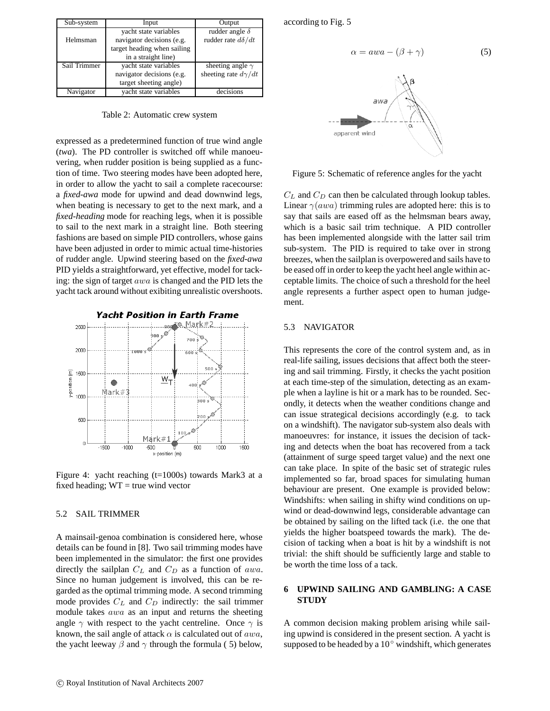| Sub-system   | Input                       | Output                     |
|--------------|-----------------------------|----------------------------|
|              | yacht state variables       | rudder angle $\delta$      |
| Helmsman     | navigator decisions (e.g.   | rudder rate $d\delta/dt$   |
|              | target heading when sailing |                            |
|              | in a straight line)         |                            |
| Sail Trimmer | yacht state variables       | sheeting angle $\gamma$    |
|              | navigator decisions (e.g.   | sheeting rate $d\gamma/dt$ |
|              | target sheeting angle)      |                            |
| Navigator    | yacht state variables       | decisions                  |

Table 2: Automatic crew system

expressed as a predetermined function of true wind angle (*twa*). The PD controller is switched off while manoeuvering, when rudder position is being supplied as a function of time. Two steering modes have been adopted here, in order to allow the yacht to sail a complete racecourse: a *fixed-awa* mode for upwind and dead downwind legs, when beating is necessary to get to the next mark, and a *fixed-heading* mode for reaching legs, when it is possible to sail to the next mark in a straight line. Both steering fashions are based on simple PID controllers, whose gains have been adjusted in order to mimic actual time-histories of rudder angle. Upwind steering based on the *fixed-awa* PID yields a straightforward, yet effective, model for tacking: the sign of target awa is changed and the PID lets the yacht tack around without exibiting unrealistic overshoots.



Figure 4: yacht reaching (t=1000s) towards Mark3 at a fixed heading;  $WT = true$  wind vector

### 5.2 SAIL TRIMMER

A mainsail-genoa combination is considered here, whose details can be found in [8]. Two sail trimming modes have been implemented in the simulator: the first one provides directly the sailplan C*<sup>L</sup>* and C*<sup>D</sup>* as a function of awa. Since no human judgement is involved, this can be regarded as the optimal trimming mode. A second trimming mode provides C*<sup>L</sup>* and C*<sup>D</sup>* indirectly: the sail trimmer module takes awa as an input and returns the sheeting angle  $\gamma$  with respect to the yacht centreline. Once  $\gamma$  is known, the sail angle of attack  $\alpha$  is calculated out of  $awa$ , the yacht leeway  $\beta$  and  $\gamma$  through the formula (5) below,

according to Fig. 5





Figure 5: Schematic of reference angles for the yacht

C*<sup>L</sup>* and C*<sup>D</sup>* can then be calculated through lookup tables. Linear  $\gamma(awa)$  trimming rules are adopted here: this is to say that sails are eased off as the helmsman bears away, which is a basic sail trim technique. A PID controller has been implemented alongside with the latter sail trim sub-system. The PID is required to take over in strong breezes, when the sailplan is overpowered and sails have to be eased off in order to keep the yacht heel angle within acceptable limits. The choice of such a threshold for the heel angle represents a further aspect open to human judgement.

### 5.3 NAVIGATOR

This represents the core of the control system and, as in real-life sailing, issues decisions that affect both the steering and sail trimming. Firstly, it checks the yacht position at each time-step of the simulation, detecting as an example when a layline is hit or a mark has to be rounded. Secondly, it detects when the weather conditions change and can issue strategical decisions accordingly (e.g. to tack on a windshift). The navigator sub-system also deals with manoeuvres: for instance, it issues the decision of tacking and detects when the boat has recovered from a tack (attainment of surge speed target value) and the next one can take place. In spite of the basic set of strategic rules implemented so far, broad spaces for simulating human behaviour are present. One example is provided below: Windshifts: when sailing in shifty wind conditions on upwind or dead-downwind legs, considerable advantage can be obtained by sailing on the lifted tack (i.e. the one that yields the higher boatspeed towards the mark). The decision of tacking when a boat is hit by a windshift is not trivial: the shift should be sufficiently large and stable to be worth the time loss of a tack.

# **6 UPWIND SAILING AND GAMBLING: A CASE STUDY**

A common decision making problem arising while sailing upwind is considered in the present section. A yacht is supposed to be headed by a  $10°$  windshift, which generates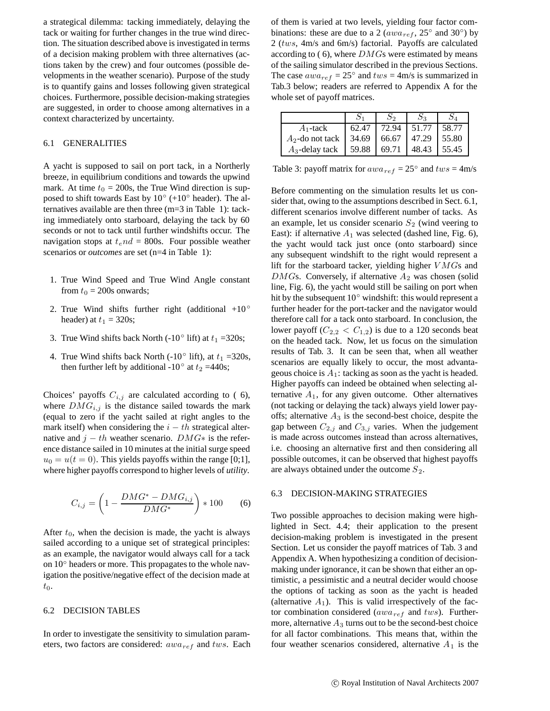a strategical dilemma: tacking immediately, delaying the tack or waiting for further changes in the true wind direction. The situation described above is investigated in terms of a decision making problem with three alternatives (actions taken by the crew) and four outcomes (possible developments in the weather scenario). Purpose of the study is to quantify gains and losses following given strategical choices. Furthermore, possible decision-making strategies are suggested, in order to choose among alternatives in a context characterized by uncertainty.

### 6.1 GENERALITIES

A yacht is supposed to sail on port tack, in a Northerly breeze, in equilibrium conditions and towards the upwind mark. At time  $t_0 = 200$ s, the True Wind direction is supposed to shift towards East by  $10° (+10°$  header). The alternatives available are then three (m=3 in Table 1): tacking immediately onto starboard, delaying the tack by 60 seconds or not to tack until further windshifts occur. The navigation stops at  $t<sub>e</sub>nd = 800$ s. Four possible weather scenarios or *outcomes* are set (n=4 in Table 1):

- 1. True Wind Speed and True Wind Angle constant from  $t_0$  = 200s onwards;
- 2. True Wind shifts further right (additional  $+10^{\circ}$ ) header) at  $t_1 = 320$ s;
- 3. True Wind shifts back North (-10 $\degree$  lift) at  $t_1 = 320$ s;
- 4. True Wind shifts back North (-10<sup>°</sup> lift), at  $t_1 = 320$ s, then further left by additional -10° at  $t_2$  =440s;

Choices' payoffs  $C_{i,j}$  are calculated according to (6), where  $DMG_{i,j}$  is the distance sailed towards the mark (equal to zero if the yacht sailed at right angles to the mark itself) when considering the  $i - th$  strategical alternative and  $j - th$  weather scenario.  $DMG*$  is the reference distance sailed in 10 minutes at the initial surge speed  $u_0 = u(t = 0)$ . This yields payoffs within the range [0;1], where higher payoffs correspond to higher levels of *utility*.

$$
C_{i,j} = \left(1 - \frac{DMG^* - DMG_{i,j}}{DMG^*}\right) * 100 \tag{6}
$$

After  $t_0$ , when the decision is made, the yacht is always sailed according to a unique set of strategical principles: as an example, the navigator would always call for a tack on 10◦ headers or more. This propagates to the whole navigation the positive/negative effect of the decision made at  $t_0$ .

### 6.2 DECISION TABLES

In order to investigate the sensitivity to simulation parameters, two factors are considered: awa*ref* and tws. Each of them is varied at two levels, yielding four factor combinations: these are due to a 2 ( $awa_{ref}$ , 25<sup>°</sup> and 30<sup>°</sup>) by 2 (tws, 4m/s and 6m/s) factorial. Payoffs are calculated according to  $(6)$ , where  $DMGs$  were estimated by means of the sailing simulator described in the previous Sections. The case  $a_{\text{wa}_{\text{ref}}} = 25^{\circ}$  and  $\text{tw}_s = 4 \text{m/s}$  is summarized in Tab.3 below; readers are referred to Appendix A for the whole set of payoff matrices.

| $A_1$ -tack       | 62.47 | 72.94 | 1.51.77 | 58.77 |
|-------------------|-------|-------|---------|-------|
| $A2$ -do not tack | 34.69 | 66.67 | 47.29   | 55.80 |
| $A_3$ -delay tack | 59.88 | 69.71 | 48.43   | 55.45 |

Table 3: payoff matrix for  $awa_{ref} = 25^\circ$  and  $tws = 4$ m/s

Before commenting on the simulation results let us consider that, owing to the assumptions described in Sect. 6.1, different scenarios involve different number of tacks. As an example, let us consider scenario  $S_2$  (wind veering to East): if alternative  $A_1$  was selected (dashed line, Fig. 6), the yacht would tack just once (onto starboard) since any subsequent windshift to the right would represent a lift for the starboard tacker, yielding higher  $VMGs$  and  $DMGs$ . Conversely, if alternative  $A_2$  was chosen (solid line, Fig. 6), the yacht would still be sailing on port when hit by the subsequent  $10°$  windshift: this would represent a further header for the port-tacker and the navigator would therefore call for a tack onto starboard. In conclusion, the lower payoff  $(C_{2,2} < C_{1,2})$  is due to a 120 seconds beat on the headed tack. Now, let us focus on the simulation results of Tab. 3. It can be seen that, when all weather scenarios are equally likely to occur, the most advantageous choice is  $A_1$ : tacking as soon as the yacht is headed. Higher payoffs can indeed be obtained when selecting alternative  $A_1$ , for any given outcome. Other alternatives (not tacking or delaying the tack) always yield lower payoffs; alternative  $A_3$  is the second-best choice, despite the gap between  $C_{2,j}$  and  $C_{3,j}$  varies. When the judgement is made across outcomes instead than across alternatives, i.e. choosing an alternative first and then considering all possible outcomes, it can be observed that highest payoffs are always obtained under the outcome  $S_2$ .

#### 6.3 DECISION-MAKING STRATEGIES

Two possible approaches to decision making were highlighted in Sect. 4.4; their application to the present decision-making problem is investigated in the present Section. Let us consider the payoff matrices of Tab. 3 and Appendix A. When hypothesizing a condition of decisionmaking under ignorance, it can be shown that either an optimistic, a pessimistic and a neutral decider would choose the options of tacking as soon as the yacht is headed (alternative  $A_1$ ). This is valid irrespectively of the factor combination considered (awa*ref* and tws). Furthermore, alternative  $A_3$  turns out to be the second-best choice for all factor combinations. This means that, within the four weather scenarios considered, alternative  $A_1$  is the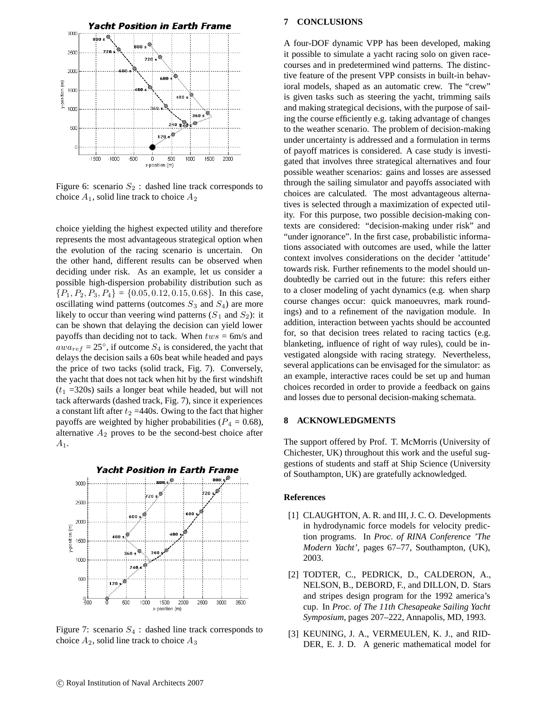

Figure 6: scenario  $S_2$ : dashed line track corresponds to choice  $A_1$ , solid line track to choice  $A_2$ 

choice yielding the highest expected utility and therefore represents the most advantageous strategical option when the evolution of the racing scenario is uncertain. On the other hand, different results can be observed when deciding under risk. As an example, let us consider a possible high-dispersion probability distribution such as  ${P_1, P_2, P_3, P_4} = {0.05, 0.12, 0.15, 0.68}$ . In this case, oscillating wind patterns (outcomes  $S_3$  and  $S_4$ ) are more likely to occur than veering wind patterns  $(S_1 \text{ and } S_2)$ : it can be shown that delaying the decision can yield lower payoffs than deciding not to tack. When  $tws = 6$ m/s and  $awa_{ref} = 25^{\circ}$ , if outcome  $S_4$  is considered, the yacht that delays the decision sails a 60s beat while headed and pays the price of two tacks (solid track, Fig. 7). Conversely, the yacht that does not tack when hit by the first windshift  $(t_1 = 320s)$  sails a longer beat while headed, but will not tack afterwards (dashed track, Fig. 7), since it experiences a constant lift after  $t_2$  =440s. Owing to the fact that higher payoffs are weighted by higher probabilities ( $P_4 = 0.68$ ), alternative  $A_2$  proves to be the second-best choice after  $A_1.$ 



Figure 7: scenario  $S_4$ : dashed line track corresponds to choice  $A_2$ , solid line track to choice  $A_3$ 

### **7 CONCLUSIONS**

A four-DOF dynamic VPP has been developed, making it possible to simulate a yacht racing solo on given racecourses and in predetermined wind patterns. The distinctive feature of the present VPP consists in built-in behavioral models, shaped as an automatic crew. The "crew" is given tasks such as steering the yacht, trimming sails and making strategical decisions, with the purpose of sailing the course efficiently e.g. taking advantage of changes to the weather scenario. The problem of decision-making under uncertainty is addressed and a formulation in terms of payoff matrices is considered. A case study is investigated that involves three strategical alternatives and four possible weather scenarios: gains and losses are assessed through the sailing simulator and payoffs associated with choices are calculated. The most advantageous alternatives is selected through a maximization of expected utility. For this purpose, two possible decision-making contexts are considered: "decision-making under risk" and "under ignorance". In the first case, probabilistic informations associated with outcomes are used, while the latter context involves considerations on the decider 'attitude' towards risk. Further refinements to the model should undoubtedly be carried out in the future: this refers either to a closer modeling of yacht dynamics (e.g. when sharp course changes occur: quick manoeuvres, mark roundings) and to a refinement of the navigation module. In addition, interaction between yachts should be accounted for, so that decision trees related to racing tactics (e.g. blanketing, influence of right of way rules), could be investigated alongside with racing strategy. Nevertheless, several applications can be envisaged for the simulator: as an example, interactive races could be set up and human choices recorded in order to provide a feedback on gains and losses due to personal decision-making schemata.

### **8 ACKNOWLEDGMENTS**

The support offered by Prof. T. McMorris (University of Chichester, UK) throughout this work and the useful suggestions of students and staff at Ship Science (University of Southampton, UK) are gratefully acknowledged.

#### **References**

- [1] CLAUGHTON, A. R. and III, J. C. O. Developments in hydrodynamic force models for velocity prediction programs. In *Proc. of RINA Conference 'The Modern Yacht'*, pages 67–77, Southampton, (UK), 2003.
- [2] TODTER, C., PEDRICK, D., CALDERON, A., NELSON, B., DEBORD, F., and DILLON, D. Stars and stripes design program for the 1992 america's cup. In *Proc. of The 11th Chesapeake Sailing Yacht Symposium*, pages 207–222, Annapolis, MD, 1993.
- [3] KEUNING, J. A., VERMEULEN, K. J., and RID-DER, E. J. D. A generic mathematical model for